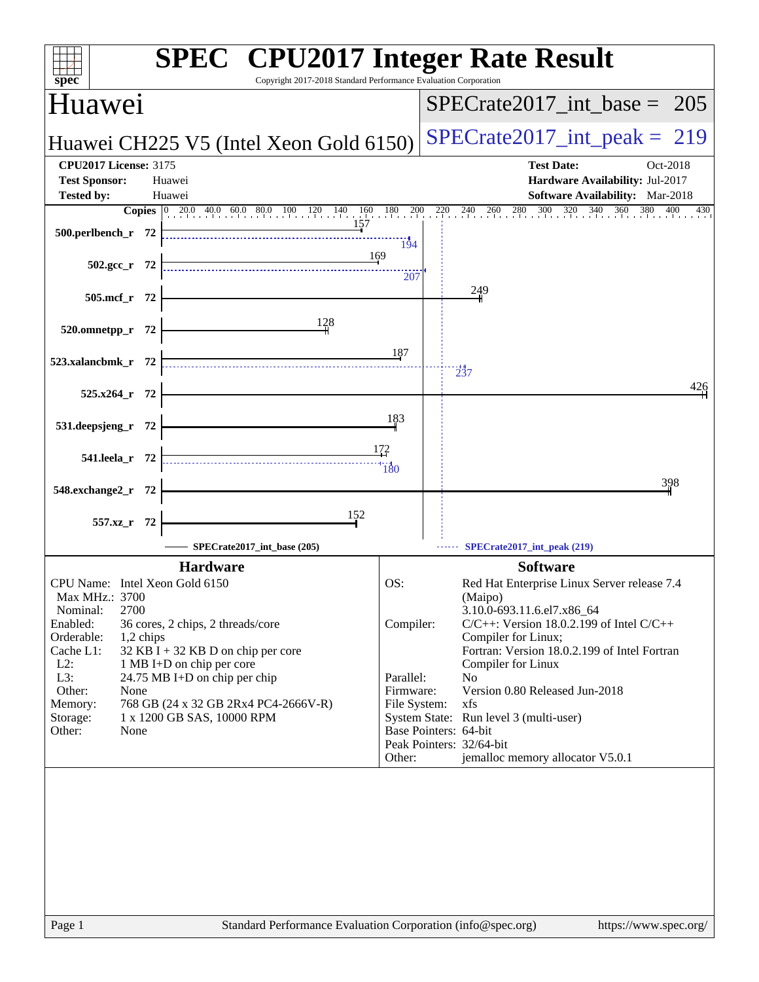| spec <sup>®</sup>                                                                                                                                                                                    | <b>SPEC<sup>®</sup> CPU2017 Integer Rate Result</b><br>Copyright 2017-2018 Standard Performance Evaluation Corporation                                                                                                           |                                                                      |                                                                                                                                                                                                                                                                                                                                                                                                                                                     |
|------------------------------------------------------------------------------------------------------------------------------------------------------------------------------------------------------|----------------------------------------------------------------------------------------------------------------------------------------------------------------------------------------------------------------------------------|----------------------------------------------------------------------|-----------------------------------------------------------------------------------------------------------------------------------------------------------------------------------------------------------------------------------------------------------------------------------------------------------------------------------------------------------------------------------------------------------------------------------------------------|
| <b>Huawei</b>                                                                                                                                                                                        |                                                                                                                                                                                                                                  |                                                                      | $SPECTate2017\_int\_base = 205$                                                                                                                                                                                                                                                                                                                                                                                                                     |
|                                                                                                                                                                                                      | Huawei CH225 V5 (Intel Xeon Gold 6150)                                                                                                                                                                                           |                                                                      | $SPECTate2017\_int\_peak = 219$                                                                                                                                                                                                                                                                                                                                                                                                                     |
| <b>CPU2017 License: 3175</b>                                                                                                                                                                         |                                                                                                                                                                                                                                  |                                                                      | <b>Test Date:</b><br>Oct-2018                                                                                                                                                                                                                                                                                                                                                                                                                       |
| <b>Test Sponsor:</b>                                                                                                                                                                                 | Huawei                                                                                                                                                                                                                           |                                                                      | Hardware Availability: Jul-2017                                                                                                                                                                                                                                                                                                                                                                                                                     |
| <b>Tested by:</b>                                                                                                                                                                                    | Huawei<br><b>Copies</b> 0 20.0 40.0 60.0 80.0 100 120 140 160 180 200                                                                                                                                                            |                                                                      | Software Availability: Mar-2018<br>220 240 260 280 300 320 340 36<br>360<br>380<br>400<br>430                                                                                                                                                                                                                                                                                                                                                       |
| 500.perlbench_r 72                                                                                                                                                                                   | 157                                                                                                                                                                                                                              | 194                                                                  |                                                                                                                                                                                                                                                                                                                                                                                                                                                     |
| $502.\text{sec}_r$ 72                                                                                                                                                                                | 169                                                                                                                                                                                                                              | 207                                                                  |                                                                                                                                                                                                                                                                                                                                                                                                                                                     |
| 505.mcf r 72                                                                                                                                                                                         |                                                                                                                                                                                                                                  |                                                                      | 249                                                                                                                                                                                                                                                                                                                                                                                                                                                 |
| 520.omnetpp_r 72                                                                                                                                                                                     | 128                                                                                                                                                                                                                              |                                                                      |                                                                                                                                                                                                                                                                                                                                                                                                                                                     |
| 523.xalancbmk_r 72                                                                                                                                                                                   |                                                                                                                                                                                                                                  | 187                                                                  | 237                                                                                                                                                                                                                                                                                                                                                                                                                                                 |
| 525.x264_r 72                                                                                                                                                                                        |                                                                                                                                                                                                                                  |                                                                      | 426                                                                                                                                                                                                                                                                                                                                                                                                                                                 |
| 531.deepsjeng_r 72                                                                                                                                                                                   |                                                                                                                                                                                                                                  | 183                                                                  |                                                                                                                                                                                                                                                                                                                                                                                                                                                     |
| 541.leela_r 72                                                                                                                                                                                       |                                                                                                                                                                                                                                  | <u> 172</u><br>$\frac{1}{180}$                                       |                                                                                                                                                                                                                                                                                                                                                                                                                                                     |
| 548.exchange2_r<br>- 72                                                                                                                                                                              |                                                                                                                                                                                                                                  |                                                                      | 398                                                                                                                                                                                                                                                                                                                                                                                                                                                 |
| 557.xz_r 72                                                                                                                                                                                          | 152                                                                                                                                                                                                                              |                                                                      |                                                                                                                                                                                                                                                                                                                                                                                                                                                     |
|                                                                                                                                                                                                      | SPECrate2017_int_base (205)                                                                                                                                                                                                      |                                                                      | SPECrate2017_int_peak (219)                                                                                                                                                                                                                                                                                                                                                                                                                         |
| CPU Name: Intel Xeon Gold 6150<br>Max MHz.: 3700<br>2700<br>Nominal:<br>Enabled:<br>Orderable:<br>1,2 chips<br>Cache L1:<br>$L2$ :<br>L3:<br>Other:<br>None<br>Memory:<br>Storage:<br>Other:<br>None | <b>Hardware</b><br>36 cores, 2 chips, 2 threads/core<br>$32$ KB I + 32 KB D on chip per core<br>1 MB I+D on chip per core<br>24.75 MB I+D on chip per chip<br>768 GB (24 x 32 GB 2Rx4 PC4-2666V-R)<br>1 x 1200 GB SAS, 10000 RPM | OS:<br>Compiler:<br>Parallel:<br>Firmware:<br>File System:<br>Other: | <b>Software</b><br>Red Hat Enterprise Linux Server release 7.4<br>(Maipo)<br>3.10.0-693.11.6.el7.x86_64<br>$C/C++$ : Version 18.0.2.199 of Intel $C/C++$<br>Compiler for Linux;<br>Fortran: Version 18.0.2.199 of Intel Fortran<br>Compiler for Linux<br>N <sub>0</sub><br>Version 0.80 Released Jun-2018<br>xfs<br>System State: Run level 3 (multi-user)<br>Base Pointers: 64-bit<br>Peak Pointers: 32/64-bit<br>jemalloc memory allocator V5.0.1 |
|                                                                                                                                                                                                      |                                                                                                                                                                                                                                  |                                                                      |                                                                                                                                                                                                                                                                                                                                                                                                                                                     |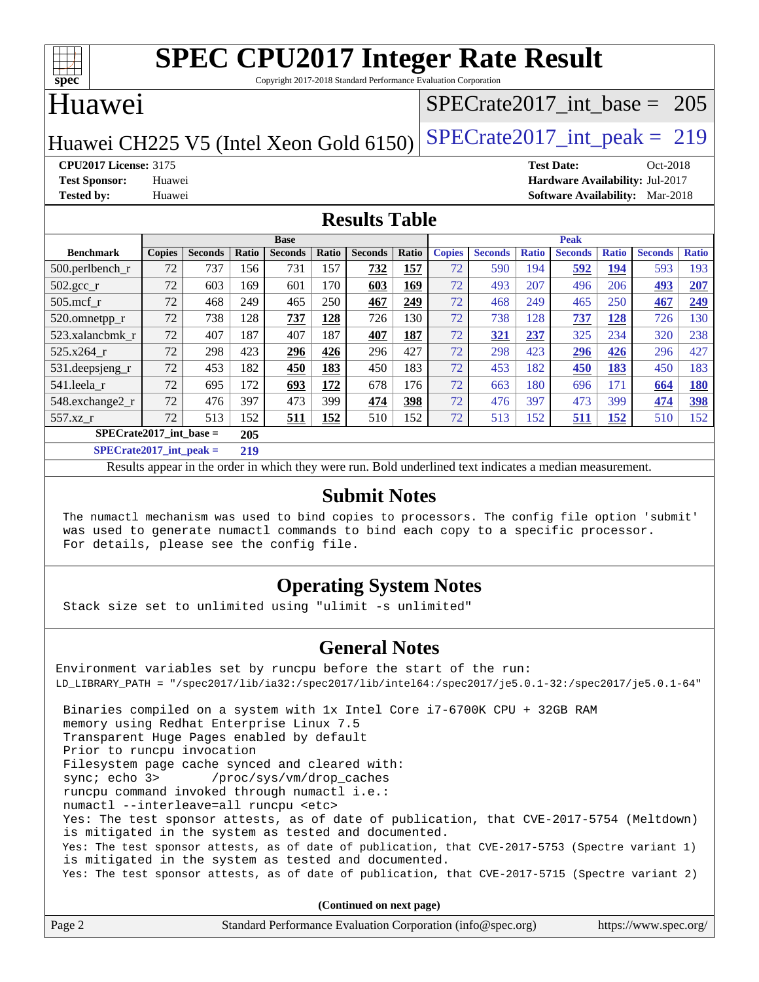

Copyright 2017-2018 Standard Performance Evaluation Corporation

# Huawei

## [SPECrate2017\\_int\\_base =](http://www.spec.org/auto/cpu2017/Docs/result-fields.html#SPECrate2017intbase) 205

# Huawei CH225 V5 (Intel Xeon Gold 6150) SPECrate  $2017$ \_int\_peak = 219

**[CPU2017 License:](http://www.spec.org/auto/cpu2017/Docs/result-fields.html#CPU2017License)** 3175 **[Test Date:](http://www.spec.org/auto/cpu2017/Docs/result-fields.html#TestDate)** Oct-2018 **[Test Sponsor:](http://www.spec.org/auto/cpu2017/Docs/result-fields.html#TestSponsor)** Huawei **[Hardware Availability:](http://www.spec.org/auto/cpu2017/Docs/result-fields.html#HardwareAvailability)** Jul-2017 **[Tested by:](http://www.spec.org/auto/cpu2017/Docs/result-fields.html#Testedby)** Huawei **[Software Availability:](http://www.spec.org/auto/cpu2017/Docs/result-fields.html#SoftwareAvailability)** Mar-2018

#### **[Results Table](http://www.spec.org/auto/cpu2017/Docs/result-fields.html#ResultsTable)**

|                               |               |                |       | <b>Base</b>    |            |                |       |               |                |              | <b>Peak</b>    |              |                |              |
|-------------------------------|---------------|----------------|-------|----------------|------------|----------------|-------|---------------|----------------|--------------|----------------|--------------|----------------|--------------|
| <b>Benchmark</b>              | <b>Copies</b> | <b>Seconds</b> | Ratio | <b>Seconds</b> | Ratio      | <b>Seconds</b> | Ratio | <b>Copies</b> | <b>Seconds</b> | <b>Ratio</b> | <b>Seconds</b> | <b>Ratio</b> | <b>Seconds</b> | <b>Ratio</b> |
| 500.perlbench_r               | 72            | 737            | 156   | 731            | 157        | 732            | 157   | 72            | 590            | 194          | 592            | 194          | 593            | 193          |
| $502.\text{sec}$ <sub>r</sub> | 72            | 603            | 169   | 601            | 170        | 603            | 169   | 72            | 493            | 207          | 496            | 206          | 493            | 207          |
| $505$ .mcf r                  | 72            | 468            | 249   | 465            | 250        | 467            | 249   | 72            | 468            | 249          | 465            | 250          | 467            | 249          |
| 520.omnetpp_r                 | 72            | 738            | 128   | 737            | 128        | 726            | 130   | 72            | 738            | 128          | 737            | 128          | 726            | 130          |
| 523.xalancbmk r               | 72            | 407            | 187   | 407            | 187        | 407            | 187   | 72            | 321            | 237          | 325            | 234          | 320            | 238          |
| 525.x264 r                    | 72            | 298            | 423   | 296            | 426        | 296            | 427   | 72            | 298            | 423          | 296            | 426          | 296            | 427          |
| 531.deepsjeng_r               | 72            | 453            | 182   | 450            | 183        | 450            | 183   | 72            | 453            | 182          | 450            | 183          | 450            | 183          |
| 541.leela r                   | 72            | 695            | 172   | 693            | 172        | 678            | 176   | 72            | 663            | 180          | 696            | 171          | 664            | <b>180</b>   |
| 548.exchange2 r               | 72            | 476            | 397   | 473            | 399        | 474            | 398   | 72            | 476            | 397          | 473            | 399          | 474            | <b>398</b>   |
| 557.xz r                      | 72            | 513            | 152   | 511            | <u>152</u> | 510            | 152   | 72            | 513            | 152          | 511            | 152          | 510            | 152          |
| $SPECrate2017$ int base =     |               |                | 205   |                |            |                |       |               |                |              |                |              |                |              |
| CDDC11.4.2017.4.4             |               |                | 210   |                |            |                |       |               |                |              |                |              |                |              |

**[SPECrate2017\\_int\\_peak =](http://www.spec.org/auto/cpu2017/Docs/result-fields.html#SPECrate2017intpeak) 219**

Results appear in the [order in which they were run](http://www.spec.org/auto/cpu2017/Docs/result-fields.html#RunOrder). Bold underlined text [indicates a median measurement](http://www.spec.org/auto/cpu2017/Docs/result-fields.html#Median).

#### **[Submit Notes](http://www.spec.org/auto/cpu2017/Docs/result-fields.html#SubmitNotes)**

 The numactl mechanism was used to bind copies to processors. The config file option 'submit' was used to generate numactl commands to bind each copy to a specific processor. For details, please see the config file.

### **[Operating System Notes](http://www.spec.org/auto/cpu2017/Docs/result-fields.html#OperatingSystemNotes)**

Stack size set to unlimited using "ulimit -s unlimited"

### **[General Notes](http://www.spec.org/auto/cpu2017/Docs/result-fields.html#GeneralNotes)**

Environment variables set by runcpu before the start of the run: LD\_LIBRARY\_PATH = "/spec2017/lib/ia32:/spec2017/lib/intel64:/spec2017/je5.0.1-32:/spec2017/je5.0.1-64" Binaries compiled on a system with 1x Intel Core i7-6700K CPU + 32GB RAM memory using Redhat Enterprise Linux 7.5 Transparent Huge Pages enabled by default Prior to runcpu invocation Filesystem page cache synced and cleared with: sync; echo 3> /proc/sys/vm/drop\_caches runcpu command invoked through numactl i.e.: numactl --interleave=all runcpu <etc> Yes: The test sponsor attests, as of date of publication, that CVE-2017-5754 (Meltdown) is mitigated in the system as tested and documented. Yes: The test sponsor attests, as of date of publication, that CVE-2017-5753 (Spectre variant 1) is mitigated in the system as tested and documented. Yes: The test sponsor attests, as of date of publication, that CVE-2017-5715 (Spectre variant 2)

**(Continued on next page)**

| Page 2 | Standard Performance Evaluation Corporation (info@spec.org) | https://www.spec.org/ |
|--------|-------------------------------------------------------------|-----------------------|
|--------|-------------------------------------------------------------|-----------------------|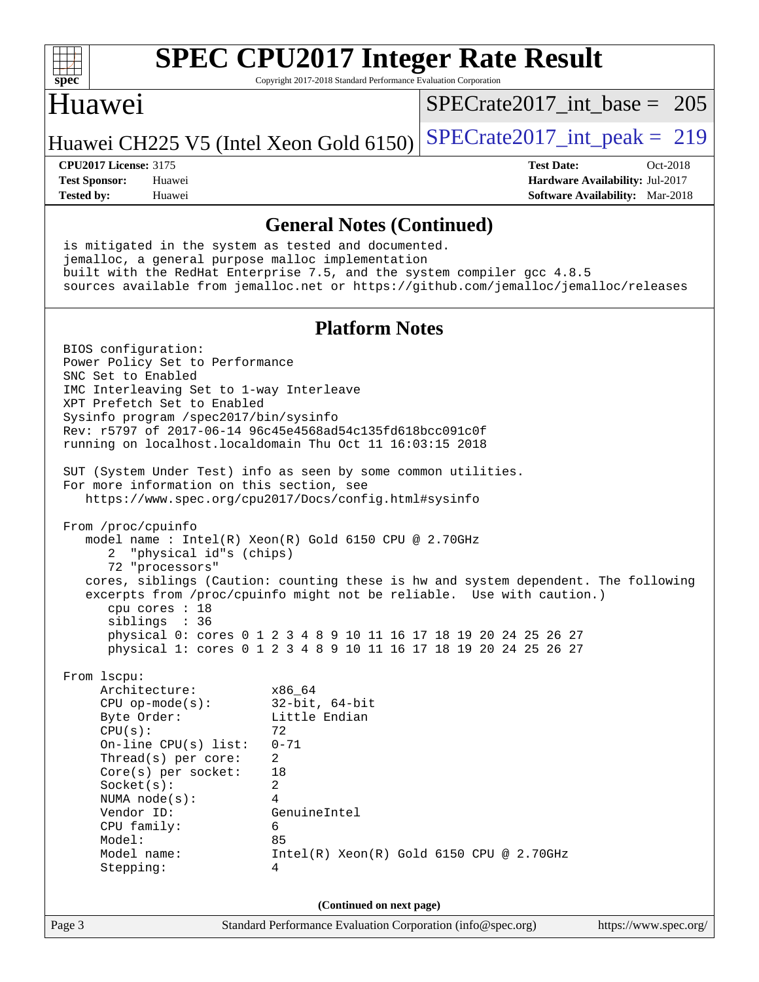

Copyright 2017-2018 Standard Performance Evaluation Corporation

## Huawei

[SPECrate2017\\_int\\_base =](http://www.spec.org/auto/cpu2017/Docs/result-fields.html#SPECrate2017intbase) 205

Huawei CH225 V5 (Intel Xeon Gold  $6150$ ) [SPECrate2017\\_int\\_peak =](http://www.spec.org/auto/cpu2017/Docs/result-fields.html#SPECrate2017intpeak) 219

**[Tested by:](http://www.spec.org/auto/cpu2017/Docs/result-fields.html#Testedby)** Huawei **[Software Availability:](http://www.spec.org/auto/cpu2017/Docs/result-fields.html#SoftwareAvailability)** Mar-2018

**[CPU2017 License:](http://www.spec.org/auto/cpu2017/Docs/result-fields.html#CPU2017License)** 3175 **[Test Date:](http://www.spec.org/auto/cpu2017/Docs/result-fields.html#TestDate)** Oct-2018 **[Test Sponsor:](http://www.spec.org/auto/cpu2017/Docs/result-fields.html#TestSponsor)** Huawei **[Hardware Availability:](http://www.spec.org/auto/cpu2017/Docs/result-fields.html#HardwareAvailability)** Jul-2017

**[General Notes \(Continued\)](http://www.spec.org/auto/cpu2017/Docs/result-fields.html#GeneralNotes)** is mitigated in the system as tested and documented. jemalloc, a general purpose malloc implementation built with the RedHat Enterprise 7.5, and the system compiler gcc 4.8.5 sources available from jemalloc.net or <https://github.com/jemalloc/jemalloc/releases> **[Platform Notes](http://www.spec.org/auto/cpu2017/Docs/result-fields.html#PlatformNotes)** BIOS configuration: Power Policy Set to Performance SNC Set to Enabled IMC Interleaving Set to 1-way Interleave XPT Prefetch Set to Enabled Sysinfo program /spec2017/bin/sysinfo Rev: r5797 of 2017-06-14 96c45e4568ad54c135fd618bcc091c0f running on localhost.localdomain Thu Oct 11 16:03:15 2018 SUT (System Under Test) info as seen by some common utilities. For more information on this section, see <https://www.spec.org/cpu2017/Docs/config.html#sysinfo> From /proc/cpuinfo model name : Intel(R) Xeon(R) Gold 6150 CPU @ 2.70GHz 2 "physical id"s (chips) 72 "processors" cores, siblings (Caution: counting these is hw and system dependent. The following excerpts from /proc/cpuinfo might not be reliable. Use with caution.) cpu cores : 18 siblings : 36 physical 0: cores 0 1 2 3 4 8 9 10 11 16 17 18 19 20 24 25 26 27 physical 1: cores 0 1 2 3 4 8 9 10 11 16 17 18 19 20 24 25 26 27 From lscpu: Architecture: x86\_64 CPU op-mode(s): 32-bit, 64-bit<br>Byte Order: Little Endian Little Endian  $CPU(s):$  72 On-line CPU(s) list: 0-71 Thread(s) per core: 2 Core(s) per socket: 18

Socket(s): 2 NUMA node(s): 4

 CPU family: 6 Model: 85

Stepping: 4

Vendor ID: GenuineIntel

Model name: Intel(R) Xeon(R) Gold 6150 CPU @ 2.70GHz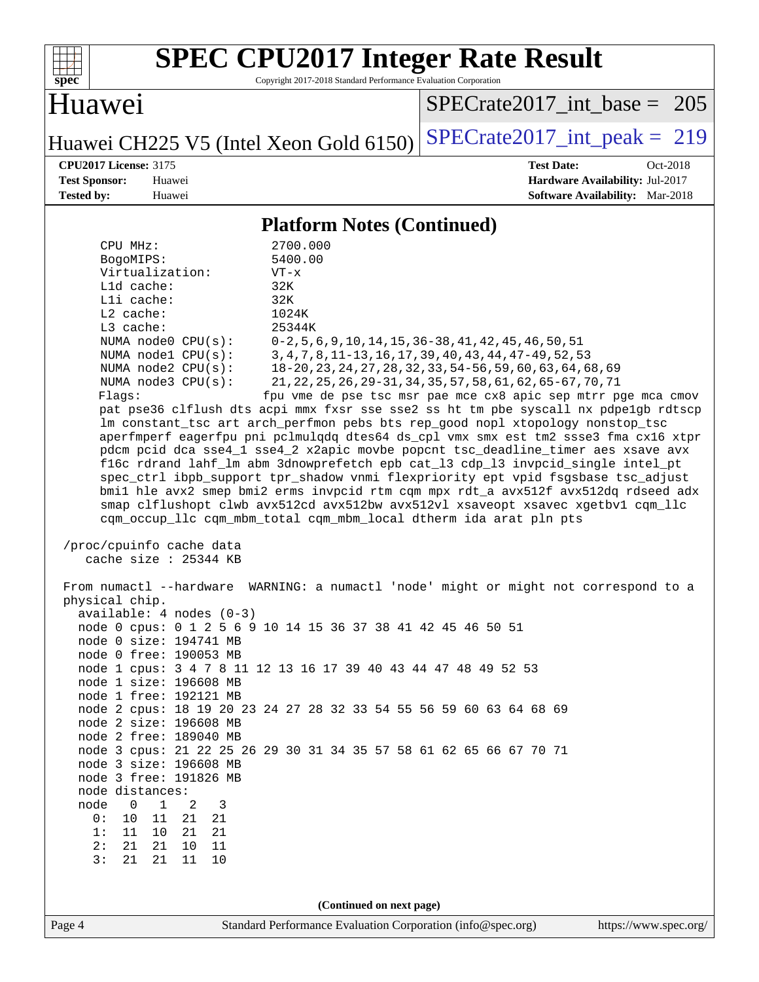

Copyright 2017-2018 Standard Performance Evaluation Corporation

# Huawei

[SPECrate2017\\_int\\_base =](http://www.spec.org/auto/cpu2017/Docs/result-fields.html#SPECrate2017intbase) 205

Huawei CH225 V5 (Intel Xeon Gold 6150) [SPECrate2017\\_int\\_peak =](http://www.spec.org/auto/cpu2017/Docs/result-fields.html#SPECrate2017intpeak) 219

**[CPU2017 License:](http://www.spec.org/auto/cpu2017/Docs/result-fields.html#CPU2017License)** 3175 **[Test Date:](http://www.spec.org/auto/cpu2017/Docs/result-fields.html#TestDate)** Oct-2018 **[Test Sponsor:](http://www.spec.org/auto/cpu2017/Docs/result-fields.html#TestSponsor)** Huawei **[Hardware Availability:](http://www.spec.org/auto/cpu2017/Docs/result-fields.html#HardwareAvailability)** Jul-2017 **[Tested by:](http://www.spec.org/auto/cpu2017/Docs/result-fields.html#Testedby)** Huawei **[Software Availability:](http://www.spec.org/auto/cpu2017/Docs/result-fields.html#SoftwareAvailability)** Mar-2018

#### **[Platform Notes \(Continued\)](http://www.spec.org/auto/cpu2017/Docs/result-fields.html#PlatformNotes)**

| CPU MHz:                                                 | 2700.000                                                                                                                                             |                       |
|----------------------------------------------------------|------------------------------------------------------------------------------------------------------------------------------------------------------|-----------------------|
| BogoMIPS:                                                | 5400.00                                                                                                                                              |                       |
| Virtualization:                                          | $VT - x$                                                                                                                                             |                       |
| Lld cache:                                               | 32K                                                                                                                                                  |                       |
| Lli cache:                                               | 32K                                                                                                                                                  |                       |
| L2 cache:                                                | 1024K                                                                                                                                                |                       |
| L3 cache:<br>NUMA $node0$ $CPU(s):$                      | 25344K<br>$0-2, 5, 6, 9, 10, 14, 15, 36-38, 41, 42, 45, 46, 50, 51$                                                                                  |                       |
| NUMA nodel CPU(s):                                       | 3, 4, 7, 8, 11-13, 16, 17, 39, 40, 43, 44, 47-49, 52, 53                                                                                             |                       |
| NUMA $node2$ $CPU(s)$ :                                  | 18-20, 23, 24, 27, 28, 32, 33, 54-56, 59, 60, 63, 64, 68, 69                                                                                         |                       |
| NUMA $node3$ $CPU(s):$                                   | 21, 22, 25, 26, 29-31, 34, 35, 57, 58, 61, 62, 65-67, 70, 71                                                                                         |                       |
| Flags:                                                   | fpu vme de pse tsc msr pae mce cx8 apic sep mtrr pge mca cmov                                                                                        |                       |
|                                                          | pat pse36 clflush dts acpi mmx fxsr sse sse2 ss ht tm pbe syscall nx pdpelgb rdtscp                                                                  |                       |
|                                                          | lm constant_tsc art arch_perfmon pebs bts rep_good nopl xtopology nonstop_tsc                                                                        |                       |
|                                                          | aperfmperf eagerfpu pni pclmulqdq dtes64 ds_cpl vmx smx est tm2 ssse3 fma cx16 xtpr                                                                  |                       |
|                                                          | pdcm pcid dca sse4_1 sse4_2 x2apic movbe popcnt tsc_deadline_timer aes xsave avx                                                                     |                       |
|                                                          | f16c rdrand lahf_lm abm 3dnowprefetch epb cat_13 cdp_13 invpcid_single intel_pt                                                                      |                       |
|                                                          | spec_ctrl ibpb_support tpr_shadow vnmi flexpriority ept vpid fsgsbase tsc_adjust                                                                     |                       |
|                                                          | bmil hle avx2 smep bmi2 erms invpcid rtm cqm mpx rdt_a avx512f avx512dq rdseed adx                                                                   |                       |
|                                                          | smap clflushopt clwb avx512cd avx512bw avx512vl xsaveopt xsavec xgetbvl cqm_llc<br>cqm_occup_llc cqm_mbm_total cqm_mbm_local dtherm ida arat pln pts |                       |
| /proc/cpuinfo cache data                                 |                                                                                                                                                      |                       |
| cache size $: 25344$ KB                                  |                                                                                                                                                      |                       |
|                                                          | From numactl --hardware WARNING: a numactl 'node' might or might not correspond to a                                                                 |                       |
| physical chip.                                           |                                                                                                                                                      |                       |
| $available: 4 nodes (0-3)$                               |                                                                                                                                                      |                       |
|                                                          | node 0 cpus: 0 1 2 5 6 9 10 14 15 36 37 38 41 42 45 46 50 51                                                                                         |                       |
| node 0 size: 194741 MB                                   |                                                                                                                                                      |                       |
| node 0 free: 190053 MB                                   |                                                                                                                                                      |                       |
|                                                          | node 1 cpus: 3 4 7 8 11 12 13 16 17 39 40 43 44 47 48 49 52 53                                                                                       |                       |
| node 1 size: 196608 MB<br>node 1 free: 192121 MB         |                                                                                                                                                      |                       |
|                                                          | node 2 cpus: 18 19 20 23 24 27 28 32 33 54 55 56 59 60 63 64 68 69                                                                                   |                       |
| node 2 size: 196608 MB                                   |                                                                                                                                                      |                       |
| node 2 free: 189040 MB                                   |                                                                                                                                                      |                       |
|                                                          | node 3 cpus: 21 22 25 26 29 30 31 34 35 57 58 61 62 65 66 67 70 71                                                                                   |                       |
| node 3 size: 196608 MB                                   |                                                                                                                                                      |                       |
| node 3 free: 191826 MB                                   |                                                                                                                                                      |                       |
| node distances:                                          |                                                                                                                                                      |                       |
| 0<br>3<br>1<br>2<br>node                                 |                                                                                                                                                      |                       |
| 10<br>11<br>21<br>0:<br>21                               |                                                                                                                                                      |                       |
| 1:<br>11<br>10<br>21<br>21<br>2:<br>21<br>21<br>10<br>11 |                                                                                                                                                      |                       |
| 3:<br>21<br>11<br>10<br>21                               |                                                                                                                                                      |                       |
|                                                          |                                                                                                                                                      |                       |
|                                                          |                                                                                                                                                      |                       |
|                                                          | (Continued on next page)                                                                                                                             |                       |
| Page 4                                                   | Standard Performance Evaluation Corporation (info@spec.org)                                                                                          | https://www.spec.org/ |
|                                                          |                                                                                                                                                      |                       |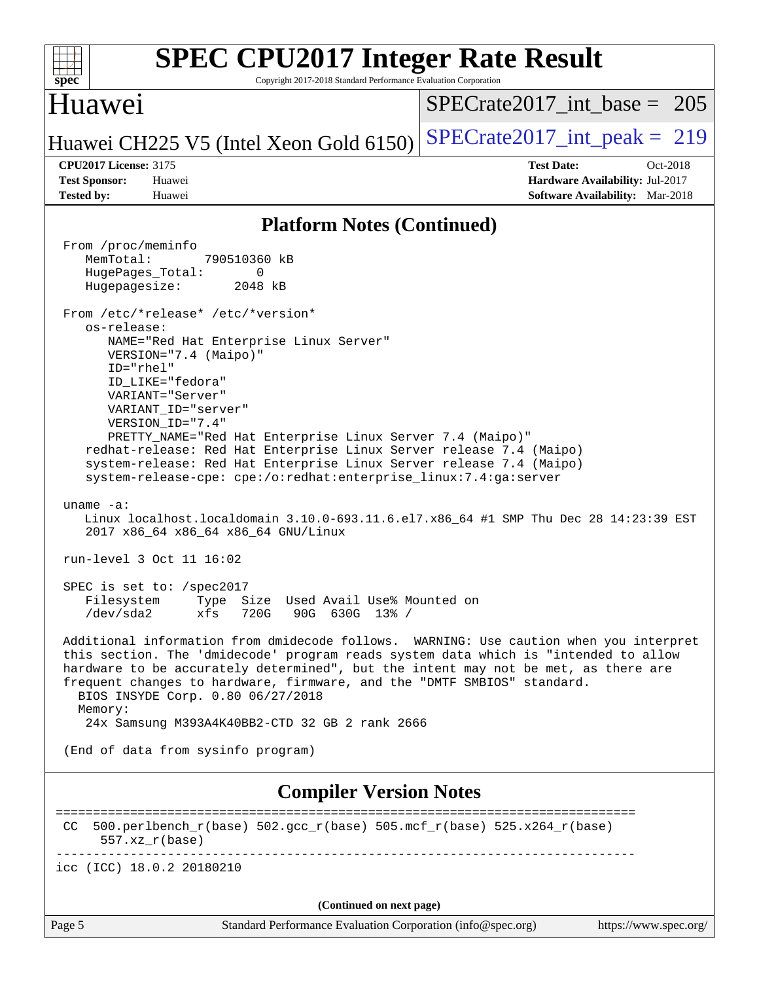| <b>SPEC CPU2017 Integer Rate Result</b><br>spec <sup>®</sup><br>Copyright 2017-2018 Standard Performance Evaluation Corporation                                                                                                                                                                                                                                                                                                                  |                                                                                                              |
|--------------------------------------------------------------------------------------------------------------------------------------------------------------------------------------------------------------------------------------------------------------------------------------------------------------------------------------------------------------------------------------------------------------------------------------------------|--------------------------------------------------------------------------------------------------------------|
| <b>Huawei</b>                                                                                                                                                                                                                                                                                                                                                                                                                                    | $SPECrate2017\_int\_base = 205$                                                                              |
| Huawei CH225 V5 (Intel Xeon Gold 6150)                                                                                                                                                                                                                                                                                                                                                                                                           | $SPECrate2017\_int\_peak = 219$                                                                              |
| <b>CPU2017 License: 3175</b><br><b>Test Sponsor:</b><br>Huawei<br><b>Tested by:</b><br>Huawei                                                                                                                                                                                                                                                                                                                                                    | <b>Test Date:</b><br>$Oct-2018$<br>Hardware Availability: Jul-2017<br><b>Software Availability:</b> Mar-2018 |
| <b>Platform Notes (Continued)</b>                                                                                                                                                                                                                                                                                                                                                                                                                |                                                                                                              |
| From /proc/meminfo<br>MemTotal:<br>790510360 kB<br>HugePages_Total:<br>0<br>Hugepagesize:<br>2048 kB<br>From /etc/*release* /etc/*version*<br>os-release:                                                                                                                                                                                                                                                                                        |                                                                                                              |
| NAME="Red Hat Enterprise Linux Server"<br>VERSION="7.4 (Maipo)"<br>ID="rhel"<br>ID_LIKE="fedora"<br>VARIANT="Server"<br>VARIANT_ID="server"<br>VERSION_ID="7.4"<br>PRETTY_NAME="Red Hat Enterprise Linux Server 7.4 (Maipo)"<br>redhat-release: Red Hat Enterprise Linux Server release 7.4 (Maipo)<br>system-release: Red Hat Enterprise Linux Server release 7.4 (Maipo)<br>system-release-cpe: cpe:/o:redhat:enterprise_linux:7.4:ga:server   |                                                                                                              |
| uname $-a$ :<br>Linux localhost.localdomain 3.10.0-693.11.6.el7.x86_64 #1 SMP Thu Dec 28 14:23:39 EST<br>2017 x86_64 x86_64 x86_64 GNU/Linux<br>run-level 3 Oct 11 16:02                                                                                                                                                                                                                                                                         |                                                                                                              |
| SPEC is set to: /spec2017<br>Filesystem Type Size Used Avail Use% Mounted on<br>90G 630G 13% /<br>/dev/sda2<br>xfs<br>720G                                                                                                                                                                                                                                                                                                                       |                                                                                                              |
| Additional information from dmidecode follows. WARNING: Use caution when you interpret<br>this section. The 'dmidecode' program reads system data which is "intended to allow<br>hardware to be accurately determined", but the intent may not be met, as there are<br>frequent changes to hardware, firmware, and the "DMTF SMBIOS" standard.<br>BIOS INSYDE Corp. 0.80 06/27/2018<br>Memory:<br>24x Samsung M393A4K40BB2-CTD 32 GB 2 rank 2666 |                                                                                                              |
| (End of data from sysinfo program)                                                                                                                                                                                                                                                                                                                                                                                                               |                                                                                                              |
| <b>Compiler Version Notes</b>                                                                                                                                                                                                                                                                                                                                                                                                                    |                                                                                                              |
| 500.perlbench_r(base) 502.gcc_r(base) 505.mcf_r(base) 525.x264_r(base)<br>CC.<br>$557. xz_r(base)$                                                                                                                                                                                                                                                                                                                                               |                                                                                                              |
| icc (ICC) 18.0.2 20180210                                                                                                                                                                                                                                                                                                                                                                                                                        |                                                                                                              |
| (Continued on next page)                                                                                                                                                                                                                                                                                                                                                                                                                         |                                                                                                              |
| Standard Performance Evaluation Corporation (info@spec.org)<br>Page 5                                                                                                                                                                                                                                                                                                                                                                            | https://www.spec.org/                                                                                        |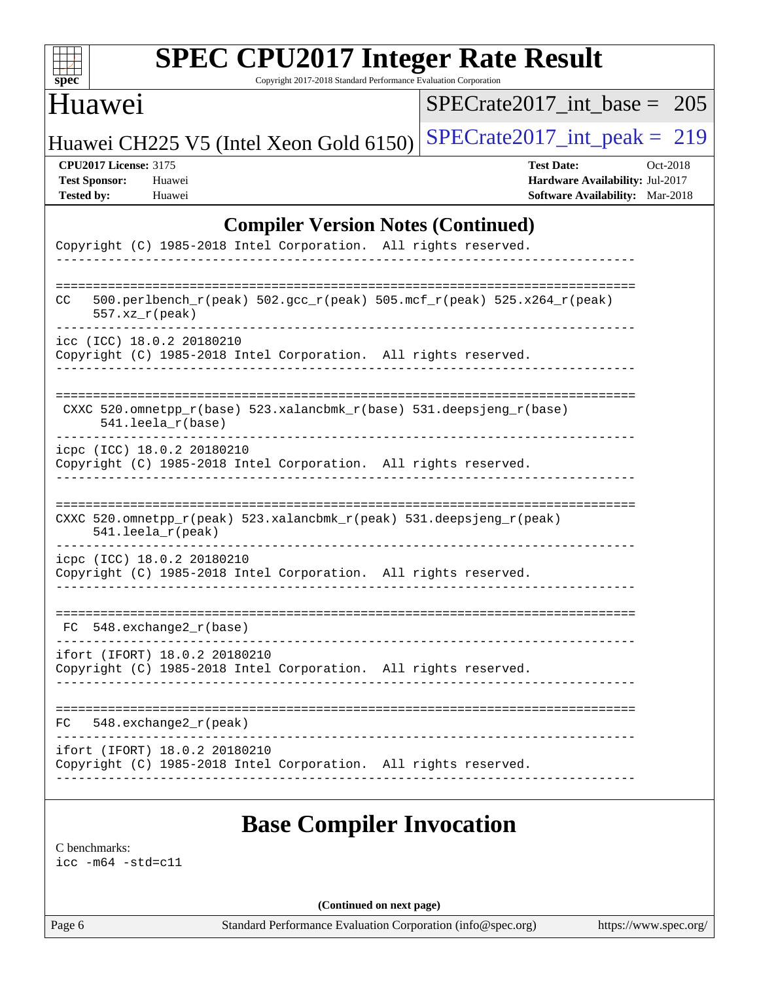

Copyright 2017-2018 Standard Performance Evaluation Corporation

# Huawei

[SPECrate2017\\_int\\_base =](http://www.spec.org/auto/cpu2017/Docs/result-fields.html#SPECrate2017intbase) 205

Huawei CH225 V5 (Intel Xeon Gold 6150) SPECrate  $2017$ \_int\_peak = 219

**[CPU2017 License:](http://www.spec.org/auto/cpu2017/Docs/result-fields.html#CPU2017License)** 3175 **[Test Date:](http://www.spec.org/auto/cpu2017/Docs/result-fields.html#TestDate)** Oct-2018 **[Test Sponsor:](http://www.spec.org/auto/cpu2017/Docs/result-fields.html#TestSponsor)** Huawei **[Hardware Availability:](http://www.spec.org/auto/cpu2017/Docs/result-fields.html#HardwareAvailability)** Jul-2017 **[Tested by:](http://www.spec.org/auto/cpu2017/Docs/result-fields.html#Testedby)** Huawei **[Software Availability:](http://www.spec.org/auto/cpu2017/Docs/result-fields.html#SoftwareAvailability)** Mar-2018

### **[Compiler Version Notes \(Continued\)](http://www.spec.org/auto/cpu2017/Docs/result-fields.html#CompilerVersionNotes)**

|    | Copyright (C) 1985-2018 Intel Corporation. All rights reserved.                                  |                                                                 |
|----|--------------------------------------------------------------------------------------------------|-----------------------------------------------------------------|
|    |                                                                                                  |                                                                 |
| CC | 500.perlbench_r(peak) 502.gcc_r(peak) 505.mcf_r(peak) 525.x264_r(peak)<br>$557. xz_r (peak)$     |                                                                 |
|    | icc (ICC) 18.0.2 20180210<br>Copyright (C) 1985-2018 Intel Corporation. All rights reserved.     |                                                                 |
|    | CXXC 520.omnetpp_r(base) 523.xalancbmk_r(base) 531.deepsjeng_r(base)<br>$541.$ leela_r(base)     |                                                                 |
|    | icpc (ICC) 18.0.2 20180210<br>Copyright (C) 1985-2018 Intel Corporation. All rights reserved.    |                                                                 |
|    | CXXC 520.omnetpp_r(peak) 523.xalancbmk_r(peak) 531.deepsjeng_r(peak)<br>$541.$ leela_r(peak)     |                                                                 |
|    | icpc (ICC) 18.0.2 20180210<br>Copyright (C) 1985-2018 Intel Corporation. All rights reserved.    |                                                                 |
|    | FC 548. exchange2 r(base)                                                                        |                                                                 |
|    | ifort (IFORT) 18.0.2 20180210<br>Copyright (C) 1985-2018 Intel Corporation. All rights reserved. |                                                                 |
|    | $FC$ 548. exchange $2_r$ (peak)                                                                  |                                                                 |
|    | ifort (IFORT) 18.0.2 20180210                                                                    | Copyright (C) 1985-2018 Intel Corporation. All rights reserved. |

## **[Base Compiler Invocation](http://www.spec.org/auto/cpu2017/Docs/result-fields.html#BaseCompilerInvocation)**

[C benchmarks](http://www.spec.org/auto/cpu2017/Docs/result-fields.html#Cbenchmarks):

[icc -m64 -std=c11](http://www.spec.org/cpu2017/results/res2018q4/cpu2017-20181015-09196.flags.html#user_CCbase_intel_icc_64bit_c11_33ee0cdaae7deeeab2a9725423ba97205ce30f63b9926c2519791662299b76a0318f32ddfffdc46587804de3178b4f9328c46fa7c2b0cd779d7a61945c91cd35)

**(Continued on next page)**

Page 6 Standard Performance Evaluation Corporation [\(info@spec.org\)](mailto:info@spec.org) <https://www.spec.org/>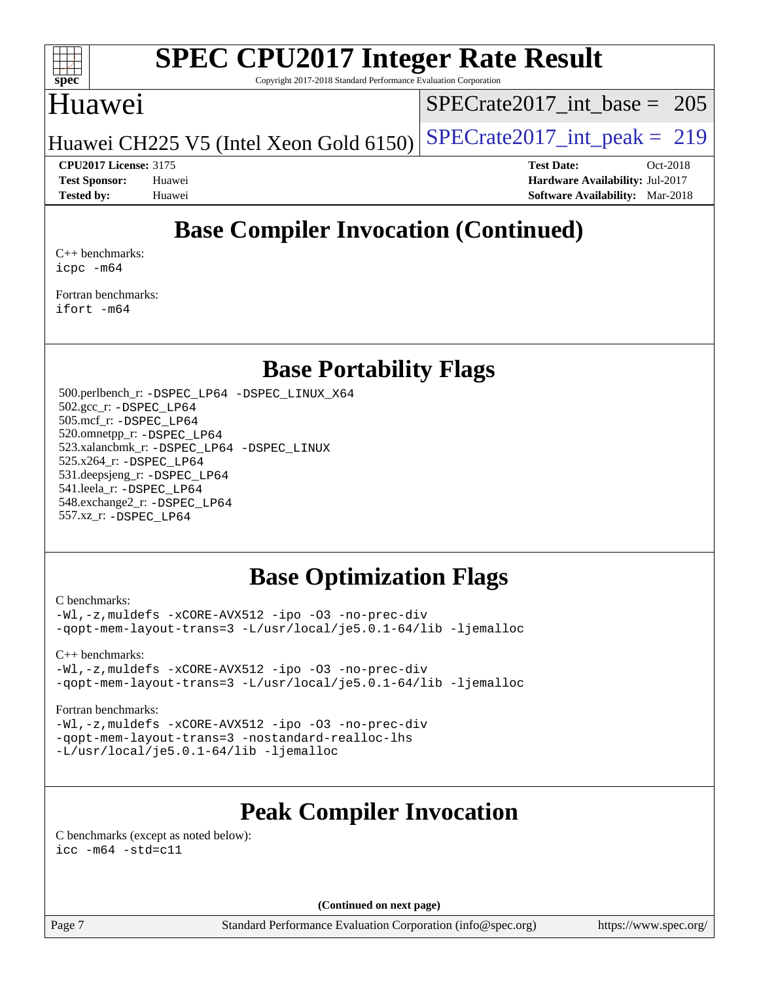

Copyright 2017-2018 Standard Performance Evaluation Corporation

# Huawei

[SPECrate2017\\_int\\_base =](http://www.spec.org/auto/cpu2017/Docs/result-fields.html#SPECrate2017intbase) 205

Huawei CH225 V5 (Intel Xeon Gold  $6150$ ) [SPECrate2017\\_int\\_peak =](http://www.spec.org/auto/cpu2017/Docs/result-fields.html#SPECrate2017intpeak) 219

**[Tested by:](http://www.spec.org/auto/cpu2017/Docs/result-fields.html#Testedby)** Huawei **[Software Availability:](http://www.spec.org/auto/cpu2017/Docs/result-fields.html#SoftwareAvailability)** Mar-2018

**[CPU2017 License:](http://www.spec.org/auto/cpu2017/Docs/result-fields.html#CPU2017License)** 3175 **[Test Date:](http://www.spec.org/auto/cpu2017/Docs/result-fields.html#TestDate)** Oct-2018 **[Test Sponsor:](http://www.spec.org/auto/cpu2017/Docs/result-fields.html#TestSponsor)** Huawei **[Hardware Availability:](http://www.spec.org/auto/cpu2017/Docs/result-fields.html#HardwareAvailability)** Jul-2017

# **[Base Compiler Invocation \(Continued\)](http://www.spec.org/auto/cpu2017/Docs/result-fields.html#BaseCompilerInvocation)**

[C++ benchmarks:](http://www.spec.org/auto/cpu2017/Docs/result-fields.html#CXXbenchmarks) [icpc -m64](http://www.spec.org/cpu2017/results/res2018q4/cpu2017-20181015-09196.flags.html#user_CXXbase_intel_icpc_64bit_4ecb2543ae3f1412ef961e0650ca070fec7b7afdcd6ed48761b84423119d1bf6bdf5cad15b44d48e7256388bc77273b966e5eb805aefd121eb22e9299b2ec9d9)

[Fortran benchmarks](http://www.spec.org/auto/cpu2017/Docs/result-fields.html#Fortranbenchmarks): [ifort -m64](http://www.spec.org/cpu2017/results/res2018q4/cpu2017-20181015-09196.flags.html#user_FCbase_intel_ifort_64bit_24f2bb282fbaeffd6157abe4f878425411749daecae9a33200eee2bee2fe76f3b89351d69a8130dd5949958ce389cf37ff59a95e7a40d588e8d3a57e0c3fd751)

## **[Base Portability Flags](http://www.spec.org/auto/cpu2017/Docs/result-fields.html#BasePortabilityFlags)**

 500.perlbench\_r: [-DSPEC\\_LP64](http://www.spec.org/cpu2017/results/res2018q4/cpu2017-20181015-09196.flags.html#b500.perlbench_r_basePORTABILITY_DSPEC_LP64) [-DSPEC\\_LINUX\\_X64](http://www.spec.org/cpu2017/results/res2018q4/cpu2017-20181015-09196.flags.html#b500.perlbench_r_baseCPORTABILITY_DSPEC_LINUX_X64) 502.gcc\_r: [-DSPEC\\_LP64](http://www.spec.org/cpu2017/results/res2018q4/cpu2017-20181015-09196.flags.html#suite_basePORTABILITY502_gcc_r_DSPEC_LP64) 505.mcf\_r: [-DSPEC\\_LP64](http://www.spec.org/cpu2017/results/res2018q4/cpu2017-20181015-09196.flags.html#suite_basePORTABILITY505_mcf_r_DSPEC_LP64) 520.omnetpp\_r: [-DSPEC\\_LP64](http://www.spec.org/cpu2017/results/res2018q4/cpu2017-20181015-09196.flags.html#suite_basePORTABILITY520_omnetpp_r_DSPEC_LP64) 523.xalancbmk\_r: [-DSPEC\\_LP64](http://www.spec.org/cpu2017/results/res2018q4/cpu2017-20181015-09196.flags.html#suite_basePORTABILITY523_xalancbmk_r_DSPEC_LP64) [-DSPEC\\_LINUX](http://www.spec.org/cpu2017/results/res2018q4/cpu2017-20181015-09196.flags.html#b523.xalancbmk_r_baseCXXPORTABILITY_DSPEC_LINUX) 525.x264\_r: [-DSPEC\\_LP64](http://www.spec.org/cpu2017/results/res2018q4/cpu2017-20181015-09196.flags.html#suite_basePORTABILITY525_x264_r_DSPEC_LP64) 531.deepsjeng\_r: [-DSPEC\\_LP64](http://www.spec.org/cpu2017/results/res2018q4/cpu2017-20181015-09196.flags.html#suite_basePORTABILITY531_deepsjeng_r_DSPEC_LP64) 541.leela\_r: [-DSPEC\\_LP64](http://www.spec.org/cpu2017/results/res2018q4/cpu2017-20181015-09196.flags.html#suite_basePORTABILITY541_leela_r_DSPEC_LP64) 548.exchange2\_r: [-DSPEC\\_LP64](http://www.spec.org/cpu2017/results/res2018q4/cpu2017-20181015-09196.flags.html#suite_basePORTABILITY548_exchange2_r_DSPEC_LP64) 557.xz\_r: [-DSPEC\\_LP64](http://www.spec.org/cpu2017/results/res2018q4/cpu2017-20181015-09196.flags.html#suite_basePORTABILITY557_xz_r_DSPEC_LP64)

# **[Base Optimization Flags](http://www.spec.org/auto/cpu2017/Docs/result-fields.html#BaseOptimizationFlags)**

[C benchmarks](http://www.spec.org/auto/cpu2017/Docs/result-fields.html#Cbenchmarks):

[-Wl,-z,muldefs](http://www.spec.org/cpu2017/results/res2018q4/cpu2017-20181015-09196.flags.html#user_CCbase_link_force_multiple1_b4cbdb97b34bdee9ceefcfe54f4c8ea74255f0b02a4b23e853cdb0e18eb4525ac79b5a88067c842dd0ee6996c24547a27a4b99331201badda8798ef8a743f577) [-xCORE-AVX512](http://www.spec.org/cpu2017/results/res2018q4/cpu2017-20181015-09196.flags.html#user_CCbase_f-xCORE-AVX512) [-ipo](http://www.spec.org/cpu2017/results/res2018q4/cpu2017-20181015-09196.flags.html#user_CCbase_f-ipo) [-O3](http://www.spec.org/cpu2017/results/res2018q4/cpu2017-20181015-09196.flags.html#user_CCbase_f-O3) [-no-prec-div](http://www.spec.org/cpu2017/results/res2018q4/cpu2017-20181015-09196.flags.html#user_CCbase_f-no-prec-div) [-qopt-mem-layout-trans=3](http://www.spec.org/cpu2017/results/res2018q4/cpu2017-20181015-09196.flags.html#user_CCbase_f-qopt-mem-layout-trans_de80db37974c74b1f0e20d883f0b675c88c3b01e9d123adea9b28688d64333345fb62bc4a798493513fdb68f60282f9a726aa07f478b2f7113531aecce732043) [-L/usr/local/je5.0.1-64/lib](http://www.spec.org/cpu2017/results/res2018q4/cpu2017-20181015-09196.flags.html#user_CCbase_jemalloc_link_path64_4b10a636b7bce113509b17f3bd0d6226c5fb2346b9178c2d0232c14f04ab830f976640479e5c33dc2bcbbdad86ecfb6634cbbd4418746f06f368b512fced5394) [-ljemalloc](http://www.spec.org/cpu2017/results/res2018q4/cpu2017-20181015-09196.flags.html#user_CCbase_jemalloc_link_lib_d1249b907c500fa1c0672f44f562e3d0f79738ae9e3c4a9c376d49f265a04b9c99b167ecedbf6711b3085be911c67ff61f150a17b3472be731631ba4d0471706)

[C++ benchmarks:](http://www.spec.org/auto/cpu2017/Docs/result-fields.html#CXXbenchmarks)

[-Wl,-z,muldefs](http://www.spec.org/cpu2017/results/res2018q4/cpu2017-20181015-09196.flags.html#user_CXXbase_link_force_multiple1_b4cbdb97b34bdee9ceefcfe54f4c8ea74255f0b02a4b23e853cdb0e18eb4525ac79b5a88067c842dd0ee6996c24547a27a4b99331201badda8798ef8a743f577) [-xCORE-AVX512](http://www.spec.org/cpu2017/results/res2018q4/cpu2017-20181015-09196.flags.html#user_CXXbase_f-xCORE-AVX512) [-ipo](http://www.spec.org/cpu2017/results/res2018q4/cpu2017-20181015-09196.flags.html#user_CXXbase_f-ipo) [-O3](http://www.spec.org/cpu2017/results/res2018q4/cpu2017-20181015-09196.flags.html#user_CXXbase_f-O3) [-no-prec-div](http://www.spec.org/cpu2017/results/res2018q4/cpu2017-20181015-09196.flags.html#user_CXXbase_f-no-prec-div) [-qopt-mem-layout-trans=3](http://www.spec.org/cpu2017/results/res2018q4/cpu2017-20181015-09196.flags.html#user_CXXbase_f-qopt-mem-layout-trans_de80db37974c74b1f0e20d883f0b675c88c3b01e9d123adea9b28688d64333345fb62bc4a798493513fdb68f60282f9a726aa07f478b2f7113531aecce732043) [-L/usr/local/je5.0.1-64/lib](http://www.spec.org/cpu2017/results/res2018q4/cpu2017-20181015-09196.flags.html#user_CXXbase_jemalloc_link_path64_4b10a636b7bce113509b17f3bd0d6226c5fb2346b9178c2d0232c14f04ab830f976640479e5c33dc2bcbbdad86ecfb6634cbbd4418746f06f368b512fced5394) [-ljemalloc](http://www.spec.org/cpu2017/results/res2018q4/cpu2017-20181015-09196.flags.html#user_CXXbase_jemalloc_link_lib_d1249b907c500fa1c0672f44f562e3d0f79738ae9e3c4a9c376d49f265a04b9c99b167ecedbf6711b3085be911c67ff61f150a17b3472be731631ba4d0471706)

#### [Fortran benchmarks](http://www.spec.org/auto/cpu2017/Docs/result-fields.html#Fortranbenchmarks):

[-Wl,-z,muldefs](http://www.spec.org/cpu2017/results/res2018q4/cpu2017-20181015-09196.flags.html#user_FCbase_link_force_multiple1_b4cbdb97b34bdee9ceefcfe54f4c8ea74255f0b02a4b23e853cdb0e18eb4525ac79b5a88067c842dd0ee6996c24547a27a4b99331201badda8798ef8a743f577) [-xCORE-AVX512](http://www.spec.org/cpu2017/results/res2018q4/cpu2017-20181015-09196.flags.html#user_FCbase_f-xCORE-AVX512) [-ipo](http://www.spec.org/cpu2017/results/res2018q4/cpu2017-20181015-09196.flags.html#user_FCbase_f-ipo) [-O3](http://www.spec.org/cpu2017/results/res2018q4/cpu2017-20181015-09196.flags.html#user_FCbase_f-O3) [-no-prec-div](http://www.spec.org/cpu2017/results/res2018q4/cpu2017-20181015-09196.flags.html#user_FCbase_f-no-prec-div) [-qopt-mem-layout-trans=3](http://www.spec.org/cpu2017/results/res2018q4/cpu2017-20181015-09196.flags.html#user_FCbase_f-qopt-mem-layout-trans_de80db37974c74b1f0e20d883f0b675c88c3b01e9d123adea9b28688d64333345fb62bc4a798493513fdb68f60282f9a726aa07f478b2f7113531aecce732043) [-nostandard-realloc-lhs](http://www.spec.org/cpu2017/results/res2018q4/cpu2017-20181015-09196.flags.html#user_FCbase_f_2003_std_realloc_82b4557e90729c0f113870c07e44d33d6f5a304b4f63d4c15d2d0f1fab99f5daaed73bdb9275d9ae411527f28b936061aa8b9c8f2d63842963b95c9dd6426b8a) [-L/usr/local/je5.0.1-64/lib](http://www.spec.org/cpu2017/results/res2018q4/cpu2017-20181015-09196.flags.html#user_FCbase_jemalloc_link_path64_4b10a636b7bce113509b17f3bd0d6226c5fb2346b9178c2d0232c14f04ab830f976640479e5c33dc2bcbbdad86ecfb6634cbbd4418746f06f368b512fced5394) [-ljemalloc](http://www.spec.org/cpu2017/results/res2018q4/cpu2017-20181015-09196.flags.html#user_FCbase_jemalloc_link_lib_d1249b907c500fa1c0672f44f562e3d0f79738ae9e3c4a9c376d49f265a04b9c99b167ecedbf6711b3085be911c67ff61f150a17b3472be731631ba4d0471706)

# **[Peak Compiler Invocation](http://www.spec.org/auto/cpu2017/Docs/result-fields.html#PeakCompilerInvocation)**

[C benchmarks \(except as noted below\)](http://www.spec.org/auto/cpu2017/Docs/result-fields.html#Cbenchmarksexceptasnotedbelow): [icc -m64 -std=c11](http://www.spec.org/cpu2017/results/res2018q4/cpu2017-20181015-09196.flags.html#user_CCpeak_intel_icc_64bit_c11_33ee0cdaae7deeeab2a9725423ba97205ce30f63b9926c2519791662299b76a0318f32ddfffdc46587804de3178b4f9328c46fa7c2b0cd779d7a61945c91cd35)

**(Continued on next page)**

Page 7 Standard Performance Evaluation Corporation [\(info@spec.org\)](mailto:info@spec.org) <https://www.spec.org/>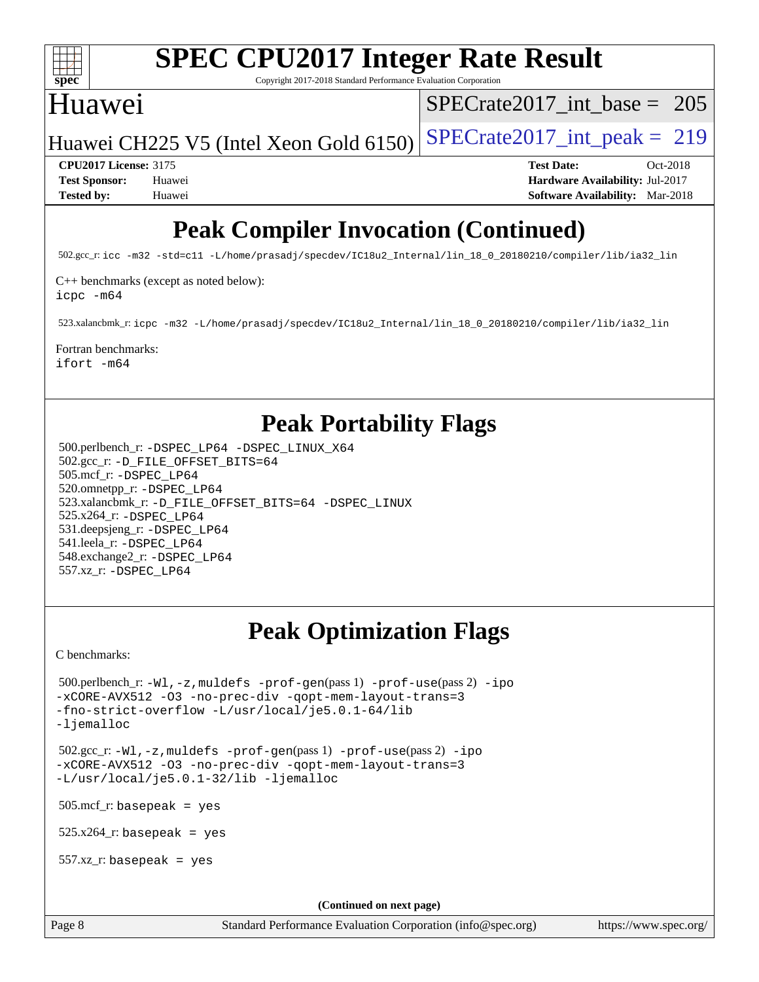

Copyright 2017-2018 Standard Performance Evaluation Corporation

# Huawei

[SPECrate2017\\_int\\_base =](http://www.spec.org/auto/cpu2017/Docs/result-fields.html#SPECrate2017intbase) 205

Huawei CH225 V5 (Intel Xeon Gold  $6150$ ) [SPECrate2017\\_int\\_peak =](http://www.spec.org/auto/cpu2017/Docs/result-fields.html#SPECrate2017intpeak) 219

**[CPU2017 License:](http://www.spec.org/auto/cpu2017/Docs/result-fields.html#CPU2017License)** 3175 **[Test Date:](http://www.spec.org/auto/cpu2017/Docs/result-fields.html#TestDate)** Oct-2018 **[Test Sponsor:](http://www.spec.org/auto/cpu2017/Docs/result-fields.html#TestSponsor)** Huawei **[Hardware Availability:](http://www.spec.org/auto/cpu2017/Docs/result-fields.html#HardwareAvailability)** Jul-2017 **[Tested by:](http://www.spec.org/auto/cpu2017/Docs/result-fields.html#Testedby)** Huawei **[Software Availability:](http://www.spec.org/auto/cpu2017/Docs/result-fields.html#SoftwareAvailability)** Mar-2018

# **[Peak Compiler Invocation \(Continued\)](http://www.spec.org/auto/cpu2017/Docs/result-fields.html#PeakCompilerInvocation)**

502.gcc\_r: [icc -m32 -std=c11 -L/home/prasadj/specdev/IC18u2\\_Internal/lin\\_18\\_0\\_20180210/compiler/lib/ia32\\_lin](http://www.spec.org/cpu2017/results/res2018q4/cpu2017-20181015-09196.flags.html#user_peakCCLD502_gcc_r_intel_icc_a481ac844e7127046fad14d498c730a1848fa901fbbb2c3dfdd5e9fbbac777c8009953946d55d8b6afe8ed0da70dd2b4f8dedbdf7ab1ee211ba70d24a5d89f85)

[C++ benchmarks \(except as noted below\):](http://www.spec.org/auto/cpu2017/Docs/result-fields.html#CXXbenchmarksexceptasnotedbelow)

[icpc -m64](http://www.spec.org/cpu2017/results/res2018q4/cpu2017-20181015-09196.flags.html#user_CXXpeak_intel_icpc_64bit_4ecb2543ae3f1412ef961e0650ca070fec7b7afdcd6ed48761b84423119d1bf6bdf5cad15b44d48e7256388bc77273b966e5eb805aefd121eb22e9299b2ec9d9)

523.xalancbmk\_r: [icpc -m32 -L/home/prasadj/specdev/IC18u2\\_Internal/lin\\_18\\_0\\_20180210/compiler/lib/ia32\\_lin](http://www.spec.org/cpu2017/results/res2018q4/cpu2017-20181015-09196.flags.html#user_peakCXXLD523_xalancbmk_r_intel_icpc_c6d030cd79af6ea7d6fb64c57e8fe7ae8fe0b96fc5a3b3f4a10e3273b3d7fa9decd8263f6330cef23f751cb093a69fae84a2bf4c243500a8eed069248128076f)

### [Fortran benchmarks](http://www.spec.org/auto/cpu2017/Docs/result-fields.html#Fortranbenchmarks):

[ifort -m64](http://www.spec.org/cpu2017/results/res2018q4/cpu2017-20181015-09196.flags.html#user_FCpeak_intel_ifort_64bit_24f2bb282fbaeffd6157abe4f878425411749daecae9a33200eee2bee2fe76f3b89351d69a8130dd5949958ce389cf37ff59a95e7a40d588e8d3a57e0c3fd751)

# **[Peak Portability Flags](http://www.spec.org/auto/cpu2017/Docs/result-fields.html#PeakPortabilityFlags)**

 500.perlbench\_r: [-DSPEC\\_LP64](http://www.spec.org/cpu2017/results/res2018q4/cpu2017-20181015-09196.flags.html#b500.perlbench_r_peakPORTABILITY_DSPEC_LP64) [-DSPEC\\_LINUX\\_X64](http://www.spec.org/cpu2017/results/res2018q4/cpu2017-20181015-09196.flags.html#b500.perlbench_r_peakCPORTABILITY_DSPEC_LINUX_X64) 502.gcc\_r: [-D\\_FILE\\_OFFSET\\_BITS=64](http://www.spec.org/cpu2017/results/res2018q4/cpu2017-20181015-09196.flags.html#user_peakPORTABILITY502_gcc_r_file_offset_bits_64_5ae949a99b284ddf4e95728d47cb0843d81b2eb0e18bdfe74bbf0f61d0b064f4bda2f10ea5eb90e1dcab0e84dbc592acfc5018bc955c18609f94ddb8d550002c) 505.mcf\_r: [-DSPEC\\_LP64](http://www.spec.org/cpu2017/results/res2018q4/cpu2017-20181015-09196.flags.html#suite_peakPORTABILITY505_mcf_r_DSPEC_LP64) 520.omnetpp\_r: [-DSPEC\\_LP64](http://www.spec.org/cpu2017/results/res2018q4/cpu2017-20181015-09196.flags.html#suite_peakPORTABILITY520_omnetpp_r_DSPEC_LP64) 523.xalancbmk\_r: [-D\\_FILE\\_OFFSET\\_BITS=64](http://www.spec.org/cpu2017/results/res2018q4/cpu2017-20181015-09196.flags.html#user_peakPORTABILITY523_xalancbmk_r_file_offset_bits_64_5ae949a99b284ddf4e95728d47cb0843d81b2eb0e18bdfe74bbf0f61d0b064f4bda2f10ea5eb90e1dcab0e84dbc592acfc5018bc955c18609f94ddb8d550002c) [-DSPEC\\_LINUX](http://www.spec.org/cpu2017/results/res2018q4/cpu2017-20181015-09196.flags.html#b523.xalancbmk_r_peakCXXPORTABILITY_DSPEC_LINUX) 525.x264\_r: [-DSPEC\\_LP64](http://www.spec.org/cpu2017/results/res2018q4/cpu2017-20181015-09196.flags.html#suite_peakPORTABILITY525_x264_r_DSPEC_LP64) 531.deepsjeng\_r: [-DSPEC\\_LP64](http://www.spec.org/cpu2017/results/res2018q4/cpu2017-20181015-09196.flags.html#suite_peakPORTABILITY531_deepsjeng_r_DSPEC_LP64) 541.leela\_r: [-DSPEC\\_LP64](http://www.spec.org/cpu2017/results/res2018q4/cpu2017-20181015-09196.flags.html#suite_peakPORTABILITY541_leela_r_DSPEC_LP64) 548.exchange2\_r: [-DSPEC\\_LP64](http://www.spec.org/cpu2017/results/res2018q4/cpu2017-20181015-09196.flags.html#suite_peakPORTABILITY548_exchange2_r_DSPEC_LP64) 557.xz\_r: [-DSPEC\\_LP64](http://www.spec.org/cpu2017/results/res2018q4/cpu2017-20181015-09196.flags.html#suite_peakPORTABILITY557_xz_r_DSPEC_LP64)

# **[Peak Optimization Flags](http://www.spec.org/auto/cpu2017/Docs/result-fields.html#PeakOptimizationFlags)**

[C benchmarks](http://www.spec.org/auto/cpu2017/Docs/result-fields.html#Cbenchmarks):

```
 500.perlbench_r: -Wl,-z,muldefs -prof-gen(pass 1) -prof-use(pass 2) -ipo
-xCORE-AVX512 -O3 -no-prec-div -qopt-mem-layout-trans=3
-fno-strict-overflow -L/usr/local/je5.0.1-64/lib
-ljemalloc
 502.gcc_r: -Wl,-z,muldefs -prof-gen(pass 1) -prof-use(pass 2) -ipo
-xCORE-AVX512 -O3 -no-prec-div -qopt-mem-layout-trans=3
-L/usr/local/je5.0.1-32/lib -ljemalloc
 505.mcf_r: basepeak = yes
525.x264<sup>-r:</sup> basepeak = yes
 557.xz_r: basepeak = yes
                                        (Continued on next page)
```
Page 8 Standard Performance Evaluation Corporation [\(info@spec.org\)](mailto:info@spec.org) <https://www.spec.org/>